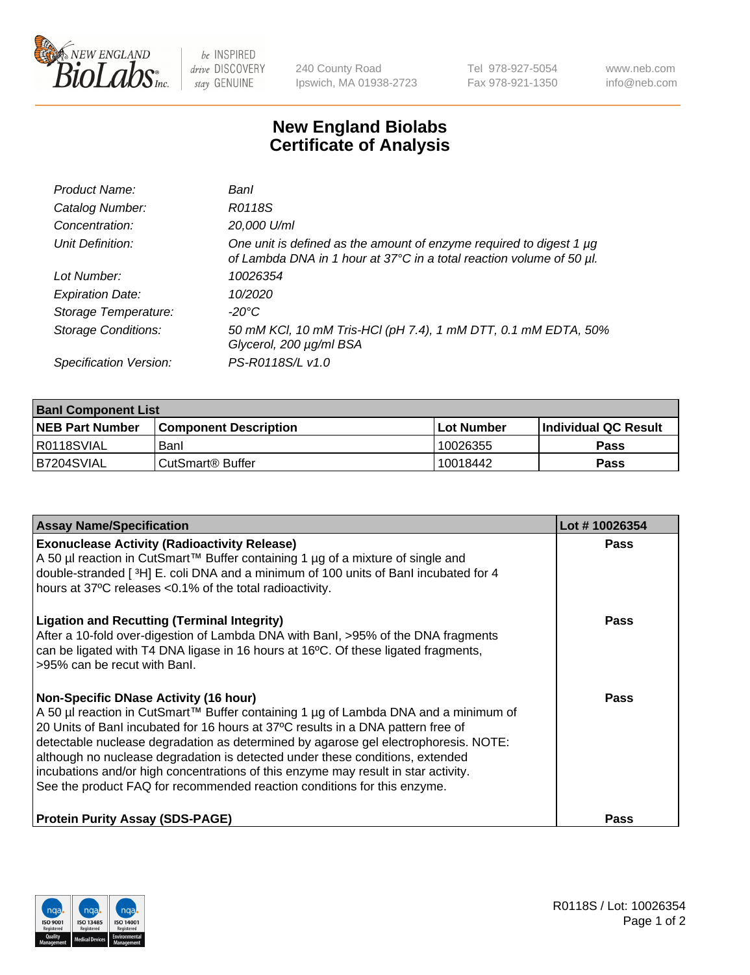

 $be$  INSPIRED drive DISCOVERY stay GENUINE

240 County Road Ipswich, MA 01938-2723 Tel 978-927-5054 Fax 978-921-1350 www.neb.com info@neb.com

## **New England Biolabs Certificate of Analysis**

| Product Name:              | Banl                                                                                                                                        |
|----------------------------|---------------------------------------------------------------------------------------------------------------------------------------------|
| Catalog Number:            | R0118S                                                                                                                                      |
| Concentration:             | 20,000 U/ml                                                                                                                                 |
| Unit Definition:           | One unit is defined as the amount of enzyme required to digest 1 µg<br>of Lambda DNA in 1 hour at 37°C in a total reaction volume of 50 µl. |
| Lot Number:                | 10026354                                                                                                                                    |
| <b>Expiration Date:</b>    | 10/2020                                                                                                                                     |
| Storage Temperature:       | -20°C                                                                                                                                       |
| <b>Storage Conditions:</b> | 50 mM KCl, 10 mM Tris-HCl (pH 7.4), 1 mM DTT, 0.1 mM EDTA, 50%<br>Glycerol, 200 µg/ml BSA                                                   |
| Specification Version:     | PS-R0118S/L v1.0                                                                                                                            |

| <b>Banl Component List</b> |                         |              |                             |  |
|----------------------------|-------------------------|--------------|-----------------------------|--|
| <b>NEB Part Number</b>     | l Component Description | l Lot Number | <b>Individual QC Result</b> |  |
| R0118SVIAL                 | Banl                    | 10026355     | Pass                        |  |
| B7204SVIAL                 | l CutSmart® Buffer      | 10018442     | Pass                        |  |

| <b>Assay Name/Specification</b>                                                                                                                                                                                                                                                                                                                                                                                                                                                                                                                                   | Lot #10026354 |
|-------------------------------------------------------------------------------------------------------------------------------------------------------------------------------------------------------------------------------------------------------------------------------------------------------------------------------------------------------------------------------------------------------------------------------------------------------------------------------------------------------------------------------------------------------------------|---------------|
| <b>Exonuclease Activity (Radioactivity Release)</b><br>A 50 µl reaction in CutSmart™ Buffer containing 1 µg of a mixture of single and<br>double-stranded [3H] E. coli DNA and a minimum of 100 units of Banl incubated for 4<br>hours at 37°C releases <0.1% of the total radioactivity.                                                                                                                                                                                                                                                                         | Pass          |
| <b>Ligation and Recutting (Terminal Integrity)</b><br>After a 10-fold over-digestion of Lambda DNA with BanI, >95% of the DNA fragments<br>can be ligated with T4 DNA ligase in 16 hours at 16°C. Of these ligated fragments,<br>>95% can be recut with Banl.                                                                                                                                                                                                                                                                                                     | Pass          |
| <b>Non-Specific DNase Activity (16 hour)</b><br>A 50 µl reaction in CutSmart™ Buffer containing 1 µg of Lambda DNA and a minimum of<br>20 Units of Banl incubated for 16 hours at 37°C results in a DNA pattern free of<br>detectable nuclease degradation as determined by agarose gel electrophoresis. NOTE:<br>although no nuclease degradation is detected under these conditions, extended<br>incubations and/or high concentrations of this enzyme may result in star activity.<br>See the product FAQ for recommended reaction conditions for this enzyme. | Pass          |
| <b>Protein Purity Assay (SDS-PAGE)</b>                                                                                                                                                                                                                                                                                                                                                                                                                                                                                                                            | Pass          |